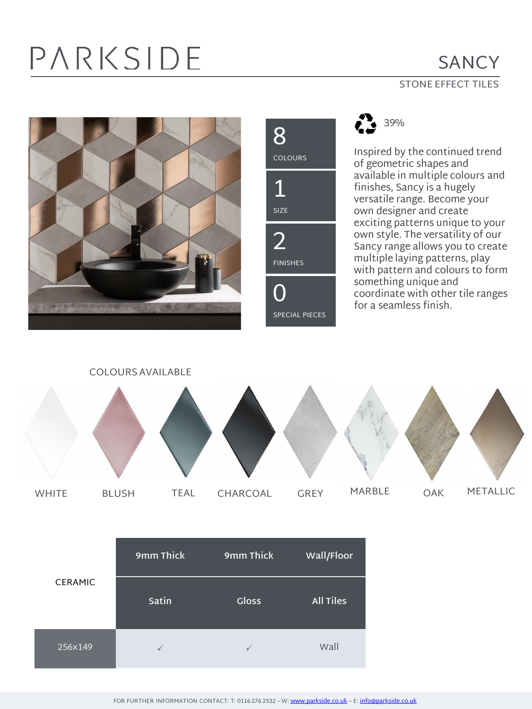# PARKSIDE

### **SANCY**

### STONE EFFECT TILES







Inspired by the continued trend of geometric shapes and available in multiple colours and finishes, Sancy is a hugely versatile range. Become your own designer and create exciting patterns unique to your own style. The versatility of our Sancy range allows you to create multiple laying patterns, play with pattern and colours to form something unique and coordinate with other tile ranges for a seamless finish.



| <b>CERAMIC</b> | 9mm Thick    | 9mm Thick    | Wall/Floor       |
|----------------|--------------|--------------|------------------|
|                | Satin        | <b>Gloss</b> | <b>All Tiles</b> |
| 256x149        | $\checkmark$ | $\checkmark$ | Wall             |